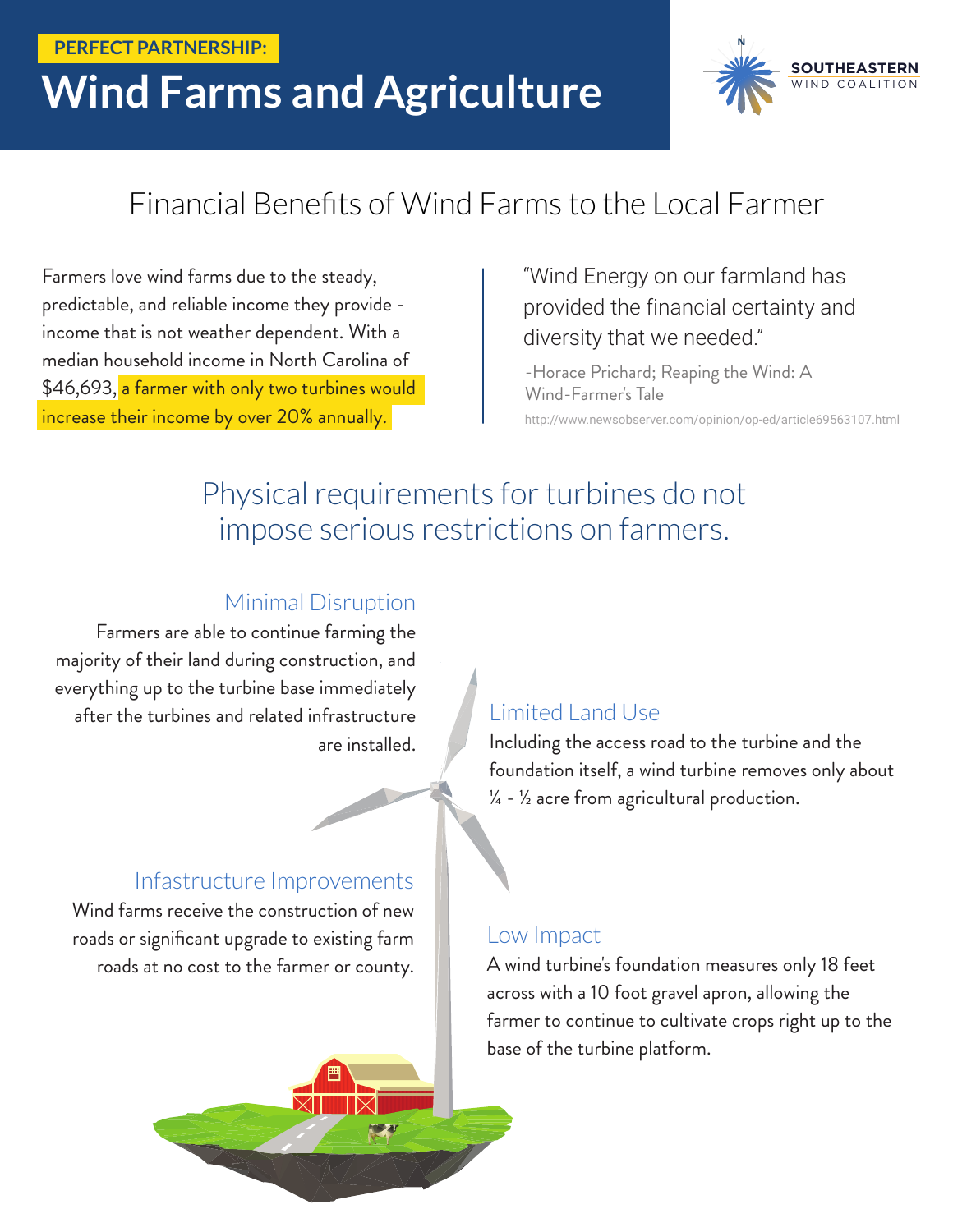#### **PERFECT PARTNERSHIP:**

# **Wind Farms and Agriculture**



### Financial Benefits of Wind Farms to the Local Farmer

Farmers love wind farms due to the steady, predictable, and reliable income they provide income that is not weather dependent. With a median household income in North Carolina of \$46,693, a farmer with only two turbines would increase their income by over 20% annually.

#### "Wind Energy on our farmland has provided the financial certainty and diversity that we needed."

http://www.newsobserver.com/opinion/op-ed/article69563107.html -Horace Prichard; Reaping the Wind: A Wind-Farmer's Tale

### Physical requirements for turbines do not impose serious restrictions on farmers.

#### Minimal Disruption

Farmers are able to continue farming the majority of their land during construction, and everything up to the turbine base immediately after the turbines and related infrastructure are installed.

#### Infastructure Improvements

Wind farms receive the construction of new roads or significant upgrade to existing farm roads at no cost to the farmer or county.

#### Limited Land Use

Including the access road to the turbine and the foundation itself, a wind turbine removes only about  $\frac{1}{4}$  -  $\frac{1}{2}$  acre from agricultural production.

#### Low Impact

A wind turbine's foundation measures only 18 feet across with a 10 foot gravel apron, allowing the farmer to continue to cultivate crops right up to the base of the turbine platform.